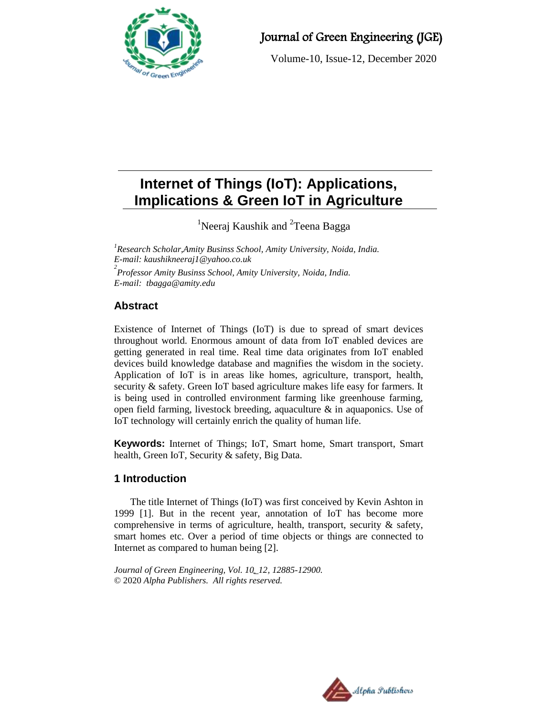

# Journal of Green Engineering (JGE)

Volume-10, Issue-12, December 2020

# **Internet of Things (IoT): Applications, Implications & Green IoT in Agriculture**

<sup>1</sup>Neeraj Kaushik and <sup>2</sup>Teena Bagga

*<sup>1</sup>Research Scholar,Amity Businss School, Amity University, Noida, India. E-mail: [kaushikneeraj1@yahoo.co.uk](mailto:kaushikneeraj1@yahoo.co.uk) 2 Professor Amity Businss School, Amity University, Noida, India. E-mail: tbagga@amity.edu*

# **Abstract**

Existence of Internet of Things (IoT) is due to spread of smart devices throughout world. Enormous amount of data from IoT enabled devices are getting generated in real time. Real time data originates from IoT enabled devices build knowledge database and magnifies the wisdom in the society. Application of IoT is in areas like homes, agriculture, transport, health, security & safety. Green IoT based agriculture makes life easy for farmers. It is being used in controlled environment farming like greenhouse farming, open field farming, livestock breeding, aquaculture & in aquaponics. Use of IoT technology will certainly enrich the quality of human life.

**Keywords:** Internet of Things; IoT, Smart home, Smart transport, Smart health, Green IoT, Security & safety, Big Data.

# **1 Introduction**

The title Internet of Things (IoT) was first conceived by Kevin Ashton in 1999 [1]. But in the recent year, annotation of IoT has become more comprehensive in terms of agriculture, health, transport, security & safety, smart homes etc. Over a period of time objects or things are connected to Internet as compared to human being [2].

*Journal of Green Engineering, Vol. 10\_12, 12885-12900.* © 2020 *Alpha Publishers. All rights reserved.*

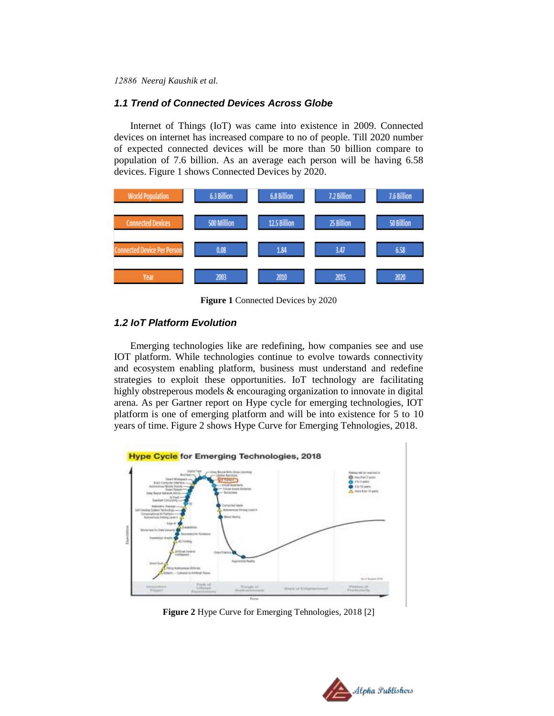#### *1.1 Trend of Connected Devices Across Globe*

Internet of Things (IoT) was came into existence in 2009. Connected devices on internet has increased compare to no of people. Till 2020 number of expected connected devices will be more than 50 billion compare to population of 7.6 billion. As an average each person will be having 6.58 devices. Figure 1 shows Connected Devices by 2020.



**Figure 1** Connected Devices by 2020

# *1.2 IoT Platform Evolution*

Emerging technologies like are redefining, how companies see and use IOT platform. While technologies continue to evolve towards connectivity and ecosystem enabling platform, business must understand and redefine strategies to exploit these opportunities. IoT technology are facilitating highly obstreperous models & encouraging organization to innovate in digital arena. As per Gartner report on Hype cycle for emerging technologies, IOT platform is one of emerging platform and will be into existence for 5 to 10 years of time. Figure 2 shows Hype Curve for Emerging Tehnologies, 2018.



**Figure 2** Hype Curve for Emerging Tehnologies, 2018 [2]

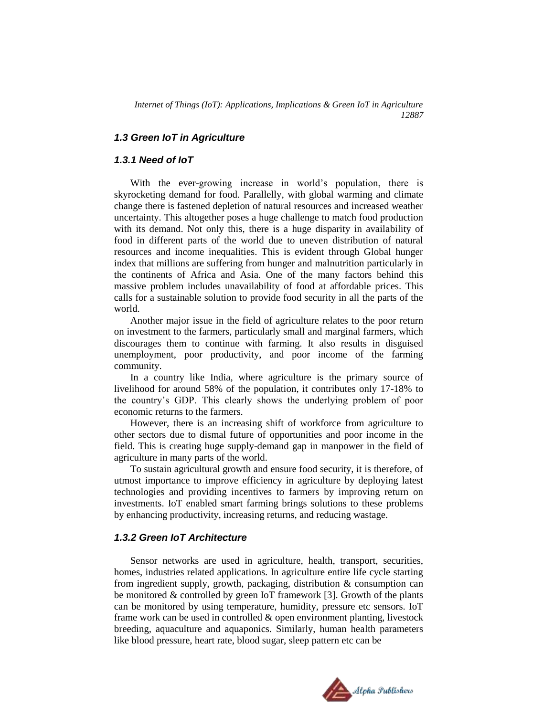#### *1.3 Green IoT in Agriculture*

#### *1.3.1 Need of IoT*

With the ever-growing increase in world's population, there is skyrocketing demand for food. Parallelly, with global warming and climate change there is fastened depletion of natural resources and increased weather uncertainty. This altogether poses a huge challenge to match food production with its demand. Not only this, there is a huge disparity in availability of food in different parts of the world due to uneven distribution of natural resources and income inequalities. This is evident through Global hunger index that millions are suffering from hunger and malnutrition particularly in the continents of Africa and Asia. One of the many factors behind this massive problem includes unavailability of food at affordable prices. This calls for a sustainable solution to provide food security in all the parts of the world.

Another major issue in the field of agriculture relates to the poor return on investment to the farmers, particularly small and marginal farmers, which discourages them to continue with farming. It also results in disguised unemployment, poor productivity, and poor income of the farming community.

In a country like India, where agriculture is the primary source of livelihood for around 58% of the population, it contributes only 17-18% to the country's GDP. This clearly shows the underlying problem of poor economic returns to the farmers.

However, there is an increasing shift of workforce from agriculture to other sectors due to dismal future of opportunities and poor income in the field. This is creating huge supply-demand gap in manpower in the field of agriculture in many parts of the world.

To sustain agricultural growth and ensure food security, it is therefore, of utmost importance to improve efficiency in agriculture by deploying latest technologies and providing incentives to farmers by improving return on investments. IoT enabled smart farming brings solutions to these problems by enhancing productivity, increasing returns, and reducing wastage.

# *1.3.2 Green IoT Architecture*

Sensor networks are used in agriculture, health, transport, securities, homes, industries related applications. In agriculture entire life cycle starting from ingredient supply, growth, packaging, distribution & consumption can be monitored & controlled by green IoT framework [3]. Growth of the plants can be monitored by using temperature, humidity, pressure etc sensors. IoT frame work can be used in controlled & open environment planting, livestock breeding, aquaculture and aquaponics. Similarly, human health parameters like blood pressure, heart rate, blood sugar, sleep pattern etc can be

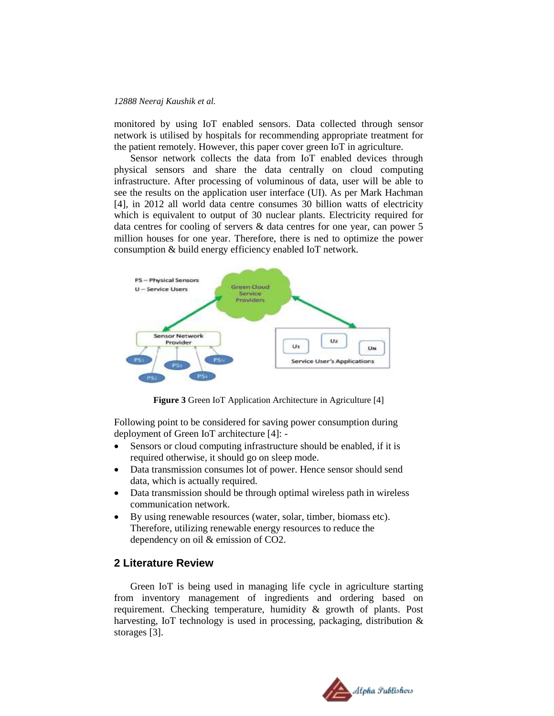monitored by using IoT enabled sensors. Data collected through sensor network is utilised by hospitals for recommending appropriate treatment for the patient remotely. However, this paper cover green IoT in agriculture.

Sensor network collects the data from IoT enabled devices through physical sensors and share the data centrally on cloud computing infrastructure. After processing of voluminous of data, user will be able to see the results on the application user interface (UI). As per Mark Hachman [4], in 2012 all world data centre consumes 30 billion watts of electricity which is equivalent to output of 30 nuclear plants. Electricity required for data centres for cooling of servers & data centres for one year, can power 5 million houses for one year. Therefore, there is ned to optimize the power consumption & build energy efficiency enabled IoT network.



**Figure 3** Green IoT Application Architecture in Agriculture [4]

Following point to be considered for saving power consumption during deployment of Green IoT architecture [4]: -

- Sensors or cloud computing infrastructure should be enabled, if it is required otherwise, it should go on sleep mode.
- Data transmission consumes lot of power. Hence sensor should send data, which is actually required.
- Data transmission should be through optimal wireless path in wireless communication network.
- By using renewable resources (water, solar, timber, biomass etc). Therefore, utilizing renewable energy resources to reduce the dependency on oil & emission of CO2.

# **2 Literature Review**

Green IoT is being used in managing life cycle in agriculture starting from inventory management of ingredients and ordering based on requirement. Checking temperature, humidity & growth of plants. Post harvesting, IoT technology is used in processing, packaging, distribution & storages [3].

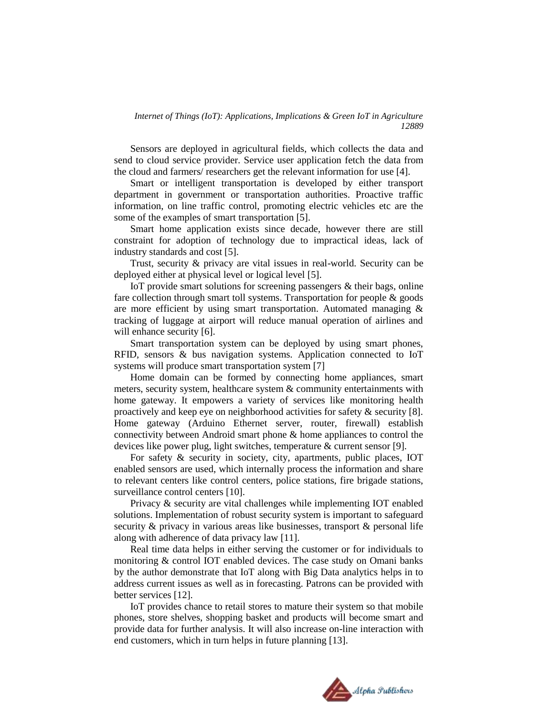Sensors are deployed in agricultural fields, which collects the data and send to cloud service provider. Service user application fetch the data from the cloud and farmers/ researchers get the relevant information for use [4].

Smart or intelligent transportation is developed by either transport department in government or transportation authorities. Proactive traffic information, on line traffic control, promoting electric vehicles etc are the some of the examples of smart transportation [5].

Smart home application exists since decade, however there are still constraint for adoption of technology due to impractical ideas, lack of industry standards and cost [5].

Trust, security & privacy are vital issues in real-world. Security can be deployed either at physical level or logical level [5].

IoT provide smart solutions for screening passengers & their bags, online fare collection through smart toll systems. Transportation for people & goods are more efficient by using smart transportation. Automated managing & tracking of luggage at airport will reduce manual operation of airlines and will enhance security [6].

Smart transportation system can be deployed by using smart phones, RFID, sensors & bus navigation systems. Application connected to IoT systems will produce smart transportation system [7]

Home domain can be formed by connecting home appliances, smart meters, security system, healthcare system & community entertainments with home gateway. It empowers a variety of services like monitoring health proactively and keep eye on neighborhood activities for safety & security [8]. Home gateway (Arduino Ethernet server, router, firewall) establish connectivity between Android smart phone & home appliances to control the devices like power plug, light switches, temperature & current sensor [9].

For safety & security in society, city, apartments, public places, IOT enabled sensors are used, which internally process the information and share to relevant centers like control centers, police stations, fire brigade stations, surveillance control centers [10].

Privacy & security are vital challenges while implementing IOT enabled solutions. Implementation of robust security system is important to safeguard security & privacy in various areas like businesses, transport & personal life along with adherence of data privacy law [11].

Real time data helps in either serving the customer or for individuals to monitoring & control IOT enabled devices. The case study on Omani banks by the author demonstrate that IoT along with Big Data analytics helps in to address current issues as well as in forecasting. Patrons can be provided with better services [12].

IoT provides chance to retail stores to mature their system so that mobile phones, store shelves, shopping basket and products will become smart and provide data for further analysis. It will also increase on-line interaction with end customers, which in turn helps in future planning [13].

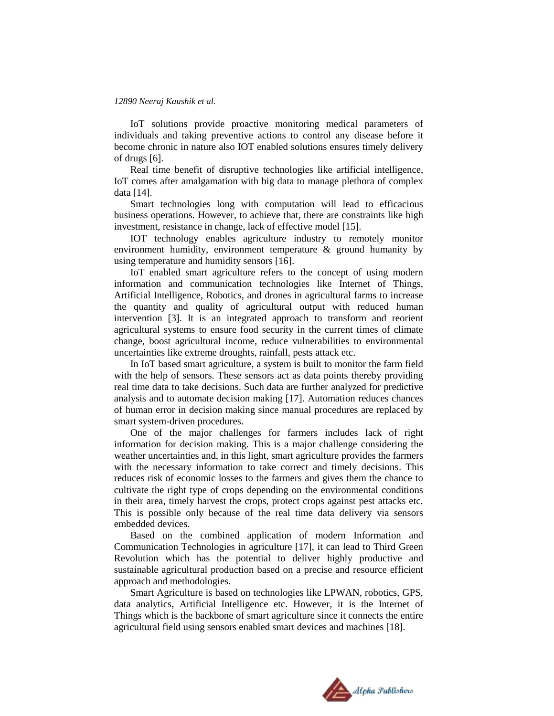IoT solutions provide proactive monitoring medical parameters of individuals and taking preventive actions to control any disease before it become chronic in nature also IOT enabled solutions ensures timely delivery of drugs [6].

Real time benefit of disruptive technologies like artificial intelligence, IoT comes after amalgamation with big data to manage plethora of complex data [14].

Smart technologies long with computation will lead to efficacious business operations. However, to achieve that, there are constraints like high investment, resistance in change, lack of effective model [15].

IOT technology enables agriculture industry to remotely monitor environment humidity, environment temperature & ground humanity by using temperature and humidity sensors [16].

IoT enabled smart agriculture refers to the concept of using modern information and communication technologies like Internet of Things, Artificial Intelligence, Robotics, and drones in agricultural farms to increase the quantity and quality of agricultural output with reduced human intervention [3]. It is an integrated approach to transform and reorient agricultural systems to ensure food security in the current times of climate change, boost agricultural income, reduce vulnerabilities to environmental uncertainties like extreme droughts, rainfall, pests attack etc.

In IoT based smart agriculture, a system is built to monitor the farm field with the help of sensors. These sensors act as data points thereby providing real time data to take decisions. Such data are further analyzed for predictive analysis and to automate decision making [17]. Automation reduces chances of human error in decision making since manual procedures are replaced by smart system-driven procedures.

One of the major challenges for farmers includes lack of right information for decision making. This is a major challenge considering the weather uncertainties and, in this light, smart agriculture provides the farmers with the necessary information to take correct and timely decisions. This reduces risk of economic losses to the farmers and gives them the chance to cultivate the right type of crops depending on the environmental conditions in their area, timely harvest the crops, protect crops against pest attacks etc. This is possible only because of the real time data delivery via sensors embedded devices.

Based on the combined application of modern Information and Communication Technologies in agriculture [17], it can lead to Third Green Revolution which has the potential to deliver highly productive and sustainable agricultural production based on a precise and resource efficient approach and methodologies.

Smart Agriculture is based on technologies like LPWAN, robotics, GPS, data analytics, Artificial Intelligence etc. However, it is the Internet of Things which is the backbone of smart agriculture since it connects the entire agricultural field using sensors enabled smart devices and machines [18].

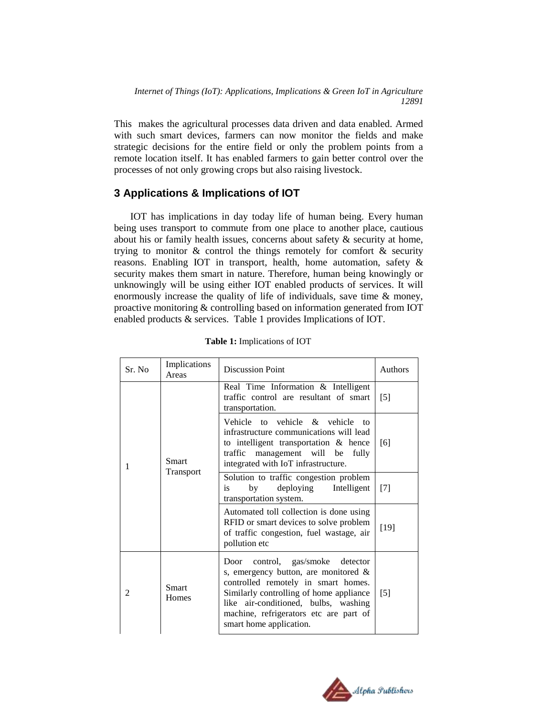This makes the agricultural processes data driven and data enabled. Armed with such smart devices, farmers can now monitor the fields and make strategic decisions for the entire field or only the problem points from a remote location itself. It has enabled farmers to gain better control over the processes of not only growing crops but also raising livestock.

# **3 Applications & Implications of IOT**

IOT has implications in day today life of human being. Every human being uses transport to commute from one place to another place, cautious about his or family health issues, concerns about safety & security at home, trying to monitor  $\&$  control the things remotely for comfort  $\&$  security reasons. Enabling IOT in transport, health, home automation, safety & security makes them smart in nature. Therefore, human being knowingly or unknowingly will be using either IOT enabled products of services. It will enormously increase the quality of life of individuals, save time & money, proactive monitoring & controlling based on information generated from IOT enabled products & services. Table 1 provides Implications of IOT.

| Sr. No | Implications<br>Areas     | <b>Discussion Point</b>                                                                                                                                                                                                                                                    | Authors           |
|--------|---------------------------|----------------------------------------------------------------------------------------------------------------------------------------------------------------------------------------------------------------------------------------------------------------------------|-------------------|
| 1      | <b>Smart</b><br>Transport | Real Time Information & Intelligent<br>traffic control are resultant of smart<br>transportation.                                                                                                                                                                           | $\lceil 5 \rceil$ |
|        |                           | Vehicle to vehicle & vehicle<br>to<br>infrastructure communications will lead<br>to intelligent transportation & hence<br>traffic management will be<br>fully<br>integrated with IoT infrastructure.                                                                       | [6]               |
|        |                           | Solution to traffic congestion problem<br>deploying Intelligent<br>by<br>is<br>transportation system.                                                                                                                                                                      | $[7]$             |
|        |                           | Automated toll collection is done using<br>RFID or smart devices to solve problem<br>of traffic congestion, fuel wastage, air<br>pollution etc                                                                                                                             | $[19]$            |
| 2      | Smart<br>Homes            | Door control, gas/smoke detector<br>s, emergency button, are monitored $\&$<br>controlled remotely in smart homes.<br>Similarly controlling of home appliance<br>like air-conditioned, bulbs, washing<br>machine, refrigerators etc are part of<br>smart home application. | $[5]$             |

 **Table 1:** Implications of IOT

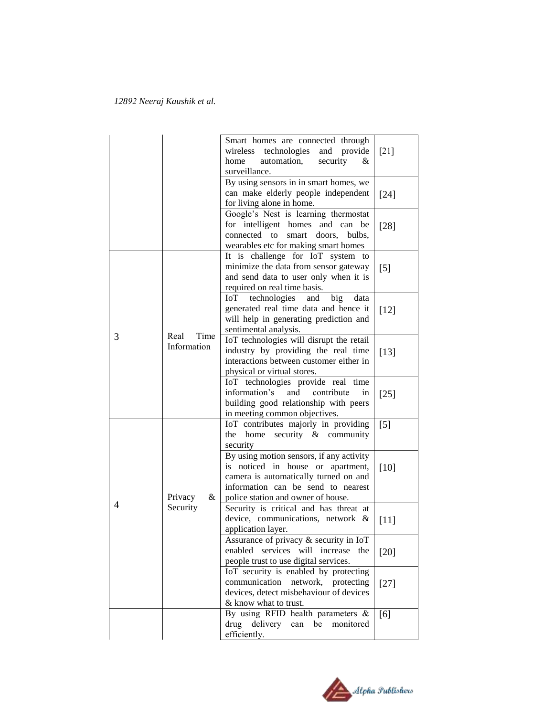|   |                             | Smart homes are connected through<br>wireless technologies and provide<br>automation,<br>security<br>home<br>&<br>surveillance.                                                                    | $[21]$            |
|---|-----------------------------|----------------------------------------------------------------------------------------------------------------------------------------------------------------------------------------------------|-------------------|
|   |                             | By using sensors in in smart homes, we<br>can make elderly people independent<br>for living alone in home.                                                                                         | $[24]$            |
|   |                             | Google's Nest is learning thermostat<br>for intelligent homes and can<br>be<br>connected to<br>smart doors,<br>bulbs.<br>wearables etc for making smart homes                                      | $[28]$            |
|   |                             | It is challenge for IoT system to<br>minimize the data from sensor gateway<br>and send data to user only when it is<br>required on real time basis.                                                | $\lceil 5 \rceil$ |
| 3 | Time<br>Real<br>Information | technologies and<br>big<br>IoT<br>data<br>generated real time data and hence it<br>will help in generating prediction and<br>sentimental analysis.                                                 | $[12]$            |
|   |                             | IoT technologies will disrupt the retail<br>industry by providing the real time<br>interactions between customer either in<br>physical or virtual stores.                                          | $[13]$            |
|   |                             | IoT technologies provide real time<br>information's<br>and<br>contribute<br>in<br>building good relationship with peers<br>in meeting common objectives.                                           | $[25]$            |
|   | Privacy<br>$\&$<br>Security | IoT contributes majorly in providing<br>security & community<br>the<br>home<br>security                                                                                                            | $[5]$             |
| 4 |                             | By using motion sensors, if any activity<br>is noticed in house or apartment,<br>camera is automatically turned on and<br>information can be send to nearest<br>police station and owner of house. | $[10]$            |
|   |                             | Security is critical and has threat at<br>device, communications, network &<br>application layer.                                                                                                  | $[11]$            |
|   |                             | Assurance of privacy & security in IoT<br>enabled services will increase the<br>people trust to use digital services.                                                                              | $[20]$            |
|   |                             | IoT security is enabled by protecting<br>communication network, protecting<br>devices, detect misbehaviour of devices<br>& know what to trust.                                                     | $[27]$            |
|   |                             | By using RFID health parameters $\&$<br>drug delivery can be monitored<br>efficiently.                                                                                                             | [6]               |

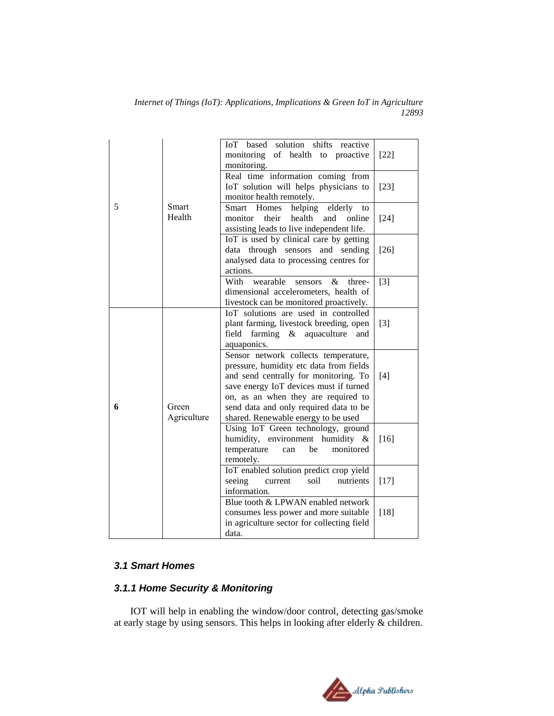|   |                      | solution shifts<br>IoT based<br>reactive<br>monitoring<br>of health<br>to proactive<br>monitoring.                                                                                                                                                                                         | $[22]$ |
|---|----------------------|--------------------------------------------------------------------------------------------------------------------------------------------------------------------------------------------------------------------------------------------------------------------------------------------|--------|
|   |                      | Real time information coming from<br>IoT solution will helps physicians to<br>monitor health remotely.                                                                                                                                                                                     | $[23]$ |
| 5 | Smart<br>Health      | Smart Homes<br>helping<br>elderly<br>to<br>their<br>health and online<br>monitor<br>assisting leads to live independent life.                                                                                                                                                              | $[24]$ |
|   |                      | IoT is used by clinical care by getting<br>data through sensors and sending<br>analysed data to processing centres for<br>actions.                                                                                                                                                         | $[26]$ |
|   |                      | With<br>wearable<br>$\&$<br>three-<br>sensors<br>dimensional accelerometers, health of<br>livestock can be monitored proactively.                                                                                                                                                          | $[3]$  |
|   |                      | IoT solutions are used in controlled<br>plant farming, livestock breeding, open<br>field<br>farming $\&$ aquaculture<br>and<br>aquaponics.                                                                                                                                                 | $[3]$  |
| 6 | Green<br>Agriculture | Sensor network collects temperature,<br>pressure, humidity etc data from fields<br>and send centrally for monitoring. To<br>save energy IoT devices must if turned<br>on, as an when they are required to<br>send data and only required data to be<br>shared. Renewable energy to be used | [4]    |
|   |                      | Using IoT Green technology, ground<br>humidity, environment humidity &<br>temperature<br>monitored<br>be<br>can<br>remotely.                                                                                                                                                               | $[16]$ |
|   |                      | IoT enabled solution predict crop yield<br>seeing<br>soil<br>nutrients<br>current<br>information.                                                                                                                                                                                          | $[17]$ |
|   |                      | Blue tooth & LPWAN enabled network<br>consumes less power and more suitable<br>in agriculture sector for collecting field<br>data.                                                                                                                                                         | $[18]$ |

# *3.1 Smart Homes*

# *3.1.1 Home Security & Monitoring*

IOT will help in enabling the window/door control, detecting gas/smoke at early stage by using sensors. This helps in looking after elderly & children.

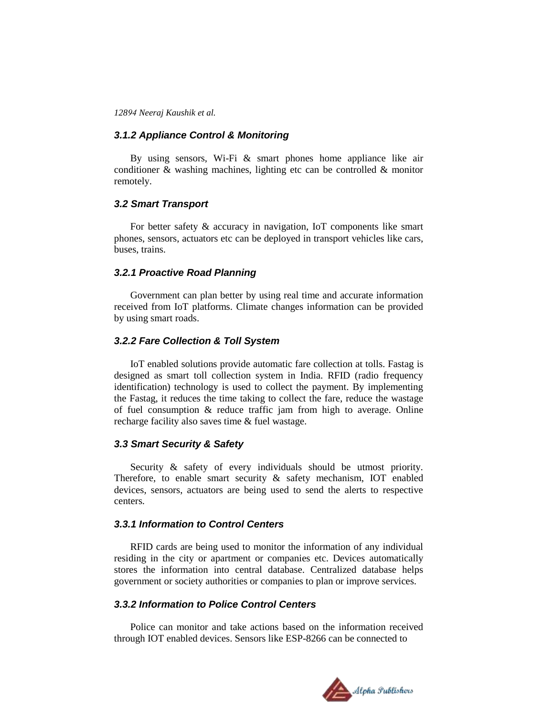#### *3.1.2 Appliance Control & Monitoring*

By using sensors, Wi-Fi & smart phones home appliance like air conditioner & washing machines, lighting etc can be controlled & monitor remotely.

### *3.2 Smart Transport*

For better safety & accuracy in navigation, IoT components like smart phones, sensors, actuators etc can be deployed in transport vehicles like cars, buses, trains.

#### *3.2.1 Proactive Road Planning*

Government can plan better by using real time and accurate information received from IoT platforms. Climate changes information can be provided by using smart roads.

#### *3.2.2 Fare Collection & Toll System*

IoT enabled solutions provide automatic fare collection at tolls. Fastag is designed as smart toll collection system in India. RFID (radio frequency identification) technology is used to collect the payment. By implementing the Fastag, it reduces the time taking to collect the fare, reduce the wastage of fuel consumption & reduce traffic jam from high to average. Online recharge facility also saves time & fuel wastage.

#### *3.3 Smart Security & Safety*

Security  $\&$  safety of every individuals should be utmost priority. Therefore, to enable smart security  $\&$  safety mechanism, IOT enabled devices, sensors, actuators are being used to send the alerts to respective centers.

## *3.3.1 Information to Control Centers*

RFID cards are being used to monitor the information of any individual residing in the city or apartment or companies etc. Devices automatically stores the information into central database. Centralized database helps government or society authorities or companies to plan or improve services.

#### *3.3.2 Information to Police Control Centers*

Police can monitor and take actions based on the information received through IOT enabled devices. Sensors like ESP-8266 can be connected to

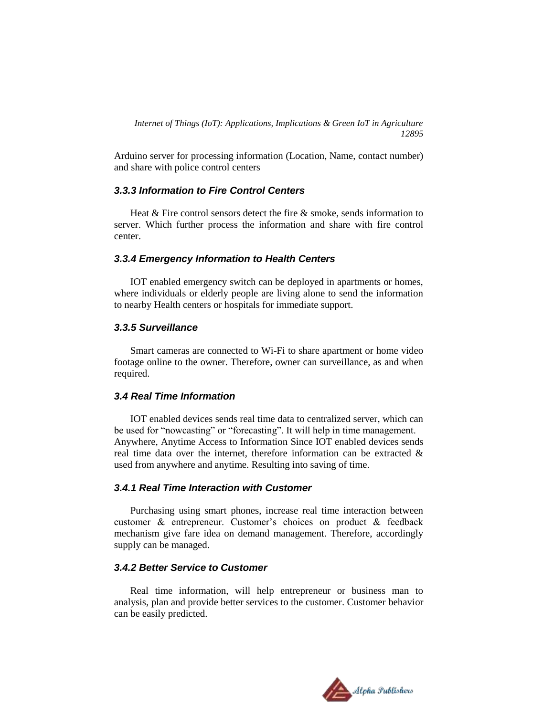Arduino server for processing information (Location, Name, contact number) and share with police control centers

# *3.3.3 Information to Fire Control Centers*

Heat & Fire control sensors detect the fire & smoke, sends information to server. Which further process the information and share with fire control center.

# *3.3.4 Emergency Information to Health Centers*

IOT enabled emergency switch can be deployed in apartments or homes, where individuals or elderly people are living alone to send the information to nearby Health centers or hospitals for immediate support.

# *3.3.5 Surveillance*

Smart cameras are connected to Wi-Fi to share apartment or home video footage online to the owner. Therefore, owner can surveillance, as and when required.

# *3.4 Real Time Information*

IOT enabled devices sends real time data to centralized server, which can be used for "nowcasting" or "forecasting". It will help in time management. Anywhere, Anytime Access to Information Since IOT enabled devices sends real time data over the internet, therefore information can be extracted  $\&$ used from anywhere and anytime. Resulting into saving of time.

# *3.4.1 Real Time Interaction with Customer*

Purchasing using smart phones, increase real time interaction between customer & entrepreneur. Customer's choices on product & feedback mechanism give fare idea on demand management. Therefore, accordingly supply can be managed.

# *3.4.2 Better Service to Customer*

Real time information, will help entrepreneur or business man to analysis, plan and provide better services to the customer. Customer behavior can be easily predicted.

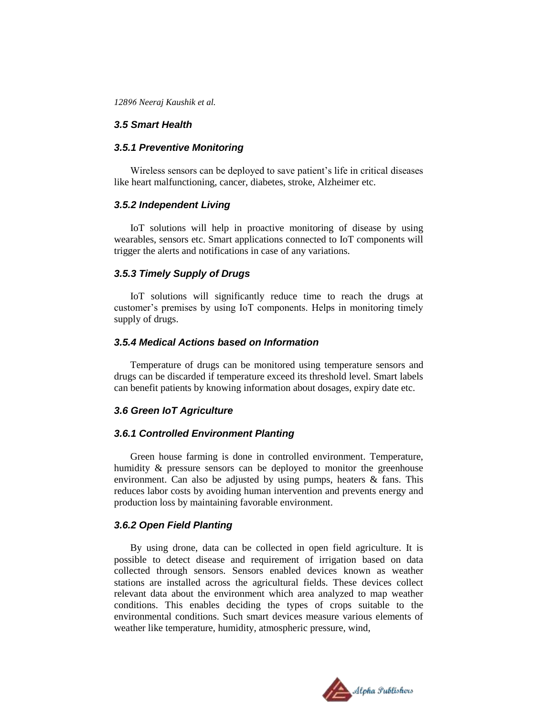# *3.5 Smart Health*

#### *3.5.1 Preventive Monitoring*

Wireless sensors can be deployed to save patient's life in critical diseases like heart malfunctioning, cancer, diabetes, stroke, Alzheimer etc.

#### *3.5.2 Independent Living*

IoT solutions will help in proactive monitoring of disease by using wearables, sensors etc. Smart applications connected to IoT components will trigger the alerts and notifications in case of any variations.

#### *3.5.3 Timely Supply of Drugs*

IoT solutions will significantly reduce time to reach the drugs at customer's premises by using IoT components. Helps in monitoring timely supply of drugs.

### *3.5.4 Medical Actions based on Information*

Temperature of drugs can be monitored using temperature sensors and drugs can be discarded if temperature exceed its threshold level. Smart labels can benefit patients by knowing information about dosages, expiry date etc.

#### *3.6 Green IoT Agriculture*

#### *3.6.1 Controlled Environment Planting*

Green house farming is done in controlled environment. Temperature, humidity & pressure sensors can be deployed to monitor the greenhouse environment. Can also be adjusted by using pumps, heaters & fans. This reduces labor costs by avoiding human intervention and prevents energy and production loss by maintaining favorable environment.

#### *3.6.2 Open Field Planting*

By using drone, data can be collected in open field agriculture. It is possible to detect disease and requirement of irrigation based on data collected through sensors. Sensors enabled devices known as weather stations are installed across the agricultural fields. These devices collect relevant data about the environment which area analyzed to map weather conditions. This enables deciding the types of crops suitable to the environmental conditions. Such smart devices measure various elements of weather like temperature, humidity, atmospheric pressure, wind,

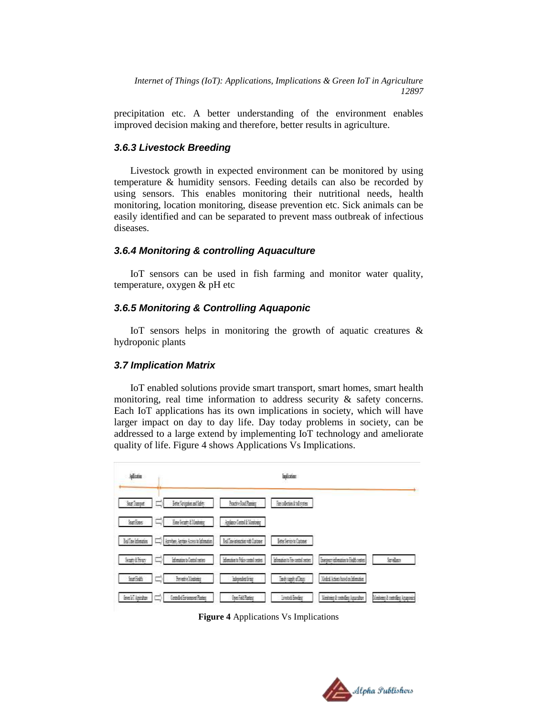precipitation etc. A better understanding of the environment enables improved decision making and therefore, better results in agriculture.

#### *3.6.3 Livestock Breeding*

Livestock growth in expected environment can be monitored by using temperature & humidity sensors. Feeding details can also be recorded by using sensors. This enables monitoring their nutritional needs, health monitoring, location monitoring, disease prevention etc. Sick animals can be easily identified and can be separated to prevent mass outbreak of infectious diseases.

#### *3.6.4 Monitoring & controlling Aquaculture*

IoT sensors can be used in fish farming and monitor water quality, temperature, oxygen & pH etc

#### *3.6.5 Monitoring & Controlling Aquaponic*

IoT sensors helps in monitoring the growth of aquatic creatures & hydroponic plants

#### *3.7 Implication Matrix*

IoT enabled solutions provide smart transport, smart homes, smart health monitoring, real time information to address security & safety concerns. Each IoT applications has its own implications in society, which will have larger impact on day to day life. Day today problems in society, can be addressed to a large extend by implementing IoT technology and ameliorate quality of life. Figure 4 shows Applications Vs Implications.

| <b>Microsoft</b>       |                                        |                                       | micrim                    |                                       |                                    |
|------------------------|----------------------------------------|---------------------------------------|---------------------------|---------------------------------------|------------------------------------|
| Suat Transport         | Better Novission and Safety            | <b>Boadive Boat Rammer</b>            | Fasculation & Individual  |                                       |                                    |
| <b>Start Executive</b> | Hone Security & Runsteiner<br>8.00     | Appliance Contact & Monstrong         |                           |                                       |                                    |
| <b>Infine immunes</b>  | Asmites Aertise Acres to Islandico     | Real Tome interaction with Customer   | Beter Service to Customer |                                       |                                    |
| Seatty & Britan        | Information to Control centers         | Information to Police control centers | Idonació Fe codal artes   | Energery information to Easth centers | kniker.                            |
| <b>Smart Eights</b>    | <b>Frenche Kontonio</b>                | interested into                       | Tinels supply of Dogs     | Maked Actions based on Information    |                                    |
| <b>Geo WT Apicihos</b> | <b>Controlled Environment Planters</b> | <b>Uhen Feld Ranters</b>              | Israeods Breaker          | Mandaire à controller Aquandres       | Konstance It controllers Accessors |

**Figure 4** Applications Vs Implications

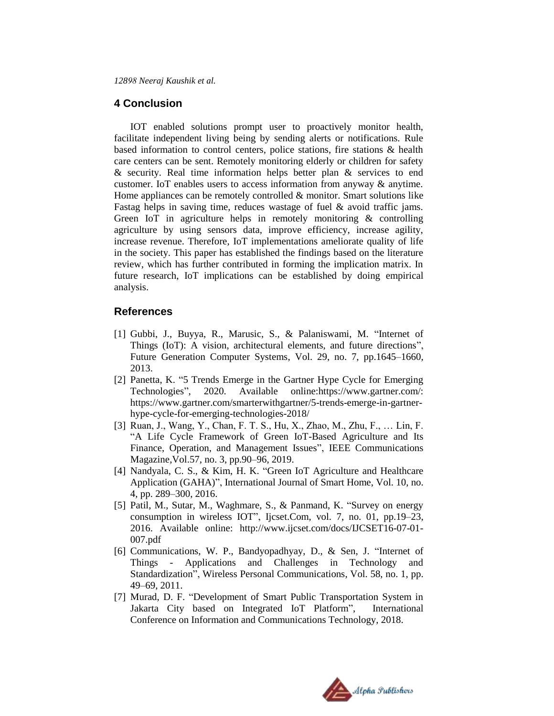## **4 Conclusion**

IOT enabled solutions prompt user to proactively monitor health, facilitate independent living being by sending alerts or notifications. Rule based information to control centers, police stations, fire stations & health care centers can be sent. Remotely monitoring elderly or children for safety & security. Real time information helps better plan & services to end customer. IoT enables users to access information from anyway & anytime. Home appliances can be remotely controlled & monitor. Smart solutions like Fastag helps in saving time, reduces wastage of fuel & avoid traffic jams. Green IoT in agriculture helps in remotely monitoring & controlling agriculture by using sensors data, improve efficiency, increase agility, increase revenue. Therefore, IoT implementations ameliorate quality of life in the society. This paper has established the findings based on the literature review, which has further contributed in forming the implication matrix. In future research, IoT implications can be established by doing empirical analysis.

# **References**

- [1] Gubbi, J., Buyya, R., Marusic, S., & Palaniswami, M. "Internet of Things (IoT): A vision, architectural elements, and future directions", Future Generation Computer Systems, Vol. 29, no. 7, pp.1645–1660, 2013.
- [2] Panetta, K. "5 Trends Emerge in the Gartner Hype Cycle for Emerging Technologies", 2020. Available online:https://www.gartner.com/: https://www.gartner.com/smarterwithgartner/5-trends-emerge-in-gartnerhype-cycle-for-emerging-technologies-2018/
- [3] Ruan, J., Wang, Y., Chan, F. T. S., Hu, X., Zhao, M., Zhu, F., … Lin, F. "A Life Cycle Framework of Green IoT-Based Agriculture and Its Finance, Operation, and Management Issues", IEEE Communications Magazine,Vol.57, no. 3, pp.90–96, 2019.
- [4] Nandyala, C. S., & Kim, H. K. "Green IoT Agriculture and Healthcare Application (GAHA)", International Journal of Smart Home, Vol. 10, no. 4, pp. 289–300, 2016.
- [5] Patil, M., Sutar, M., Waghmare, S., & Panmand, K. "Survey on energy consumption in wireless IOT", Ijcset.Com, vol. 7, no. 01, pp.19–23, 2016. Available online: http://www.ijcset.com/docs/IJCSET16-07-01- 007.pdf
- [6] Communications, W. P., Bandyopadhyay, D., & Sen, J. "Internet of Things - Applications and Challenges in Technology and Standardization", Wireless Personal Communications, Vol. 58, no. 1, pp. 49–69, 2011.
- [7] Murad, D. F. "Development of Smart Public Transportation System in Jakarta City based on Integrated IoT Platform", International Conference on Information and Communications Technology, 2018.

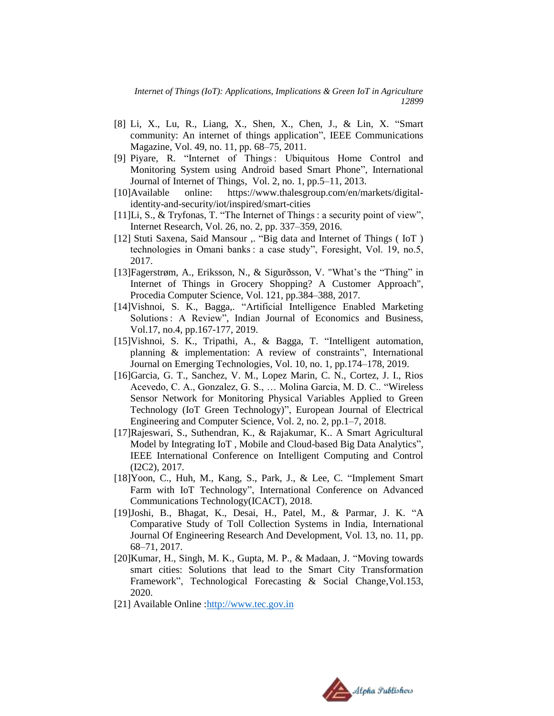- [8] Li, X., Lu, R., Liang, X., Shen, X., Chen, J., & Lin, X. "Smart community: An internet of things application", IEEE Communications Magazine, Vol. 49, no. 11, pp. 68–75, 2011.
- [9] Piyare, R. "Internet of Things : Ubiquitous Home Control and Monitoring System using Android based Smart Phone", International Journal of Internet of Things, Vol. 2, no. 1, pp.5–11, 2013.
- [10]Available online: https://www.thalesgroup.com/en/markets/digitalidentity-and-security/iot/inspired/smart-cities
- [11]Li, S., & Tryfonas, T. "The Internet of Things : a security point of view", Internet Research, Vol. 26, no. 2, pp. 337–359, 2016.
- [12] Stuti Saxena, Said Mansour ,. "Big data and Internet of Things (IoT) technologies in Omani banks : a case study", Foresight, Vol. 19, no.5, 2017.
- [13]Fagerstrøm, A., Eriksson, N., & Sigurðsson, V. "What's the "Thing" in Internet of Things in Grocery Shopping? A Customer Approach", Procedia Computer Science, Vol. 121, pp.384–388, 2017.
- [14]Vishnoi, S. K., Bagga,. "Artificial Intelligence Enabled Marketing Solutions : A Review", Indian Journal of Economics and Business, Vol.17, no.4, pp.167-177, 2019.
- [15]Vishnoi, S. K., Tripathi, A., & Bagga, T. "Intelligent automation, planning & implementation: A review of constraints", International Journal on Emerging Technologies, Vol. 10, no. 1, pp.174–178, 2019.
- [16]Garcia, G. T., Sanchez, V. M., Lopez Marin, C. N., Cortez, J. I., Rios Acevedo, C. A., Gonzalez, G. S., … Molina Garcia, M. D. C.. "Wireless Sensor Network for Monitoring Physical Variables Applied to Green Technology (IoT Green Technology)", European Journal of Electrical Engineering and Computer Science, Vol. 2, no. 2, pp.1–7, 2018.
- [17]Rajeswari, S., Suthendran, K., & Rajakumar, K.. A Smart Agricultural Model by Integrating IoT , Mobile and Cloud-based Big Data Analytics", IEEE International Conference on Intelligent Computing and Control (I2C2), 2017.
- [18]Yoon, C., Huh, M., Kang, S., Park, J., & Lee, C. "Implement Smart Farm with IoT Technology", International Conference on Advanced Communications Technology(ICACT), 2018.
- [19]Joshi, B., Bhagat, K., Desai, H., Patel, M., & Parmar, J. K. "A Comparative Study of Toll Collection Systems in India, International Journal Of Engineering Research And Development, Vol. 13, no. 11, pp. 68–71, 2017.
- [20]Kumar, H., Singh, M. K., Gupta, M. P., & Madaan, J. "Moving towards smart cities: Solutions that lead to the Smart City Transformation Framework", Technological Forecasting & Social Change,Vol.153, 2020.
- [21] Available Online [:http://www.tec.gov.in](http://www.tec.gov.in/)